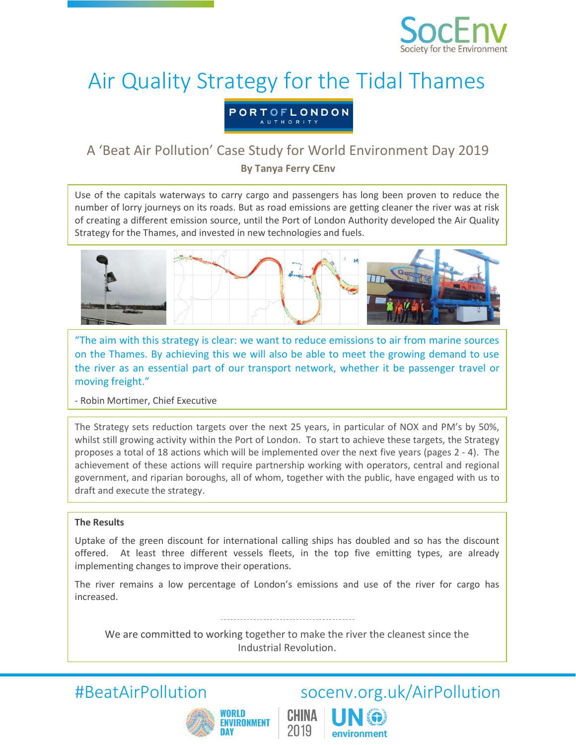

## Air Quality Strategy for the Tidal Thames

PORTOFLONDON

# A 'Beat Air Pollution' Case Study for World Environment Day 2019<br>By Tanya Ferry CEnv

Use of the capitals waterways to carry cargo and passengers has long been proven to reduce the number of lorry journeys on its roads. But as road emissions are getting cleaner the river was at risk of creating a different emission source, until the Port of London Authority developed the Air Quality Strategy for the Thames, and invested in new technologies and fuels.



"The aim with this strategy is clear: we want to reduce emissions to air from marine sources on the Thames. By achieving this we will also be able to meet the growing demand to use the river as an essential part of our transport network, whether it be passenger travel or moving freight."

- Robin Mortimer, Chief Executive

The Strategy sets reduction targets over the next 25 years, in particular of NOX and PM's by 50%, whilst still growing activity within the Port of London. To start to achieve these targets, the Strategy proposes a total of 18 actions which will be implemented over the next five years (pages 2 - 4). The achievement of these actions will require partnership working with operators, central and regional government, and riparian boroughs, all of whom, together with the public, have engaged with us to draft and execute the strategy.

### **The Results**

Uptake of the green discount for international calling ships has doubled and so has the discount offered. At least three different vessels fleets, in the top five emitting types, are already implementing changes to improve their operations.

The river remains a low percentage of London's emissions and use of the river for cargo has increased.

We are committed to working together to make the river the cleanest since the Industrial Revolution.

CHINA

2019



## #BeatAirPollution socenv.org.uk/AirPollution

environment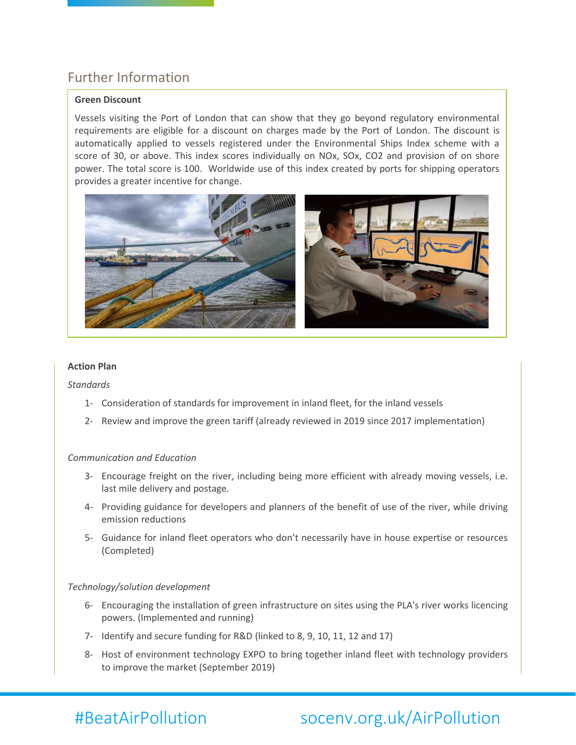### Further Information

### **Green Discount**

Vessels visiting the Port of London that can show that they go beyond regulatory environmental requirements are eligible for a discount on charges made by the Port of London. The discount is automatically applied to vessels registered under the Environmental Ships Index scheme with a score of 30, or above. This index scores individually on NOx, SOx, CO2 and provision of on shore power. The total score is 100. Worldwide use of this index created by ports for shipping operators provides a greater incentive for change.



#### **Action Plan**

*Standards*

- 1- Consideration of standards for improvement in inland fleet, for the inland vessels
- 2- Review and improve the green tariff (already reviewed in 2019 since 2017 implementation)

#### *Communication and Education*

- 3- Encourage freight on the river, including being more efficient with already moving vessels, i.e. last mile delivery and postage.
- 4- Providing guidance for developers and planners of the benefit of use of the river, while driving emission reductions
- 5- Guidance for inland fleet operators who don't necessarily have in house expertise or resources (Completed)

### *Technology/solution development*

- 6- Encouraging the installation of green infrastructure on sites using the PLA's river works licencing powers. (Implemented and running)
- 7- Identify and secure funding for R&D (linked to 8, 9, 10, 11, 12 and 17)
- 8- Host of environment technology EXPO to bring together inland fleet with technology providers to improve the market (September 2019)

## #BeatAirPollution socenv.org.uk/AirPollution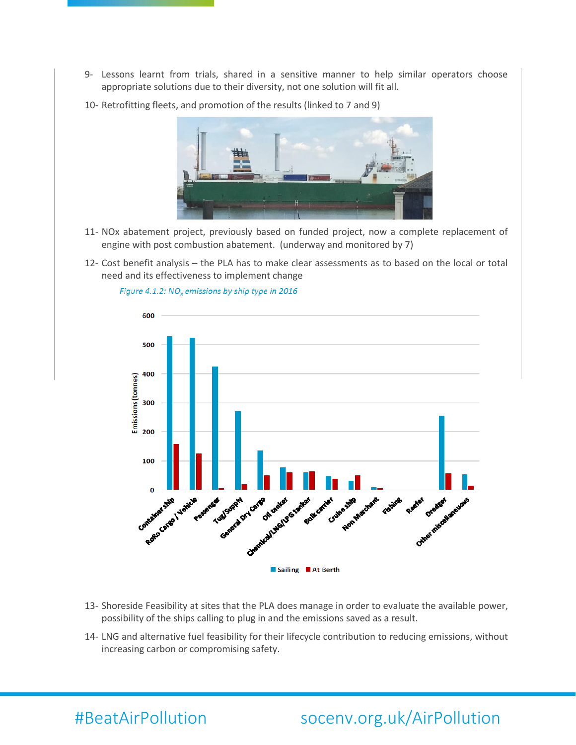- 9- Lessons learnt from trials, shared in a sensitive manner to help similar operators choose appropriate solutions due to their diversity, not one solution will fit all.
- 10- Retrofitting fleets, and promotion of the results (linked to 7 and 9)



- 11- NOx abatement project, previously based on funded project, now a complete replacement of engine with post combustion abatement. (underway and monitored by 7)
- 12- Cost benefit analysis the PLA has to make clear assessments as to based on the local or total need and its effectiveness to implement change



Figure 4.1.2: NO<sub>x</sub> emissions by ship type in 2016

- 13- Shoreside Feasibility at sites that the PLA does manage in order to evaluate the available power, possibility of the ships calling to plug in and the emissions saved as a result.
- 14- LNG and alternative fuel feasibility for their lifecycle contribution to reducing emissions, without increasing carbon or compromising safety.

## #BeatAirPollution socenv.org.uk/AirPollution